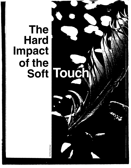# **The Hard Impact of the**

Bryan Peterson/Getty Images

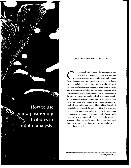

# **By Marco Vriens and Curtis Frazier**

**C onjoint analysis is probably the most popular tool in marketing research today for assessing and quantifying consumer preferences and choices. The conjoint approach can be used for <sup>a</sup> variety of marketing problems including product optimization, product line opti mization, market segmentation, and pricing. Usually market simulations are performed to facilitate decision making based on the conjoint results. Recent developments have expanded the set of problems that can be tackled with conjoint analy sis. For example, discrete choice modeling has made it possi ble to study trade-offs when different product categories are involved, latent class methods and hierarchical Bayes (HB) methods have increased the ability to identify market seg ments, and the development of efficient experimental design has increased the number of attributes and levels that can be dealt with in <sup>a</sup> conjoint study. One problem, however, has remained rather elusive: the integration of soft brand posi tioning attributes in <sup>a</sup> conjoint framework that aims to pre dict hard consumer choices.**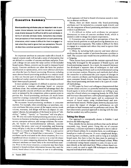# **Executive Summar~**

**Brand-positioning attributes play an important role in con sumer choice behavior, but cant be included in a conjoint study directly because its difficult to define such attributes in terms of concrete attribute levels. Consumers may already have perceptions of how brands perform on such positioning dimensions, which makes it difficult for them to engage in <sup>a</sup> task where they need to ignore their own perceptions. This arti cle describes a practical approach to tackling this problem.**

**An important attribute in consumer trade-offs is brand. A typical conjoint study will include <sup>a</sup> series of alternatives that are defined on <sup>a</sup> number of concrete attributes and price. From such <sup>a</sup> design we can assess the value (utility) of the included brand names. Hence, conjoint can be used to measure brand equity. Concrete attributes are often the basis for product modification or optimization, while more abstract attributes are often the basis for brand positioning. However, including more abstract brand-positioning attributes in <sup>a</sup> conjoint study so they can become part of predicting preference shares of hypothetical market situations has been more complicated and hasnt been typically pursued.**

In many product categories it's difficult to position a brand **and maintain <sup>a</sup> strategic advantage based on concrete attributes alone. Any customer-perceived advantage thats the result of specific concrete attributes can often be copied fairly easily or imitated by the competition unless <sup>a</sup> patent exists to prevent this. Brand-positioning attributes are much better suited for creating <sup>a</sup> sustainable advantage, and they play an important role in consumer choice behavior.**

**We encounter brand-positioning attributes in consumer markets. For example, when considering <sup>a</sup> car purchase, con crete attributes like price, power of the engine, extras, trunk volume, warranty, and design will have an impact on con sumers choices, but perceptions of the brand in terms of reli ability, safety, sporty, or luxurious will also play <sup>a</sup> role. We also encounter brand-positioning attributes in many business-to-business technology markets for products such as servers, enterprise software, and storage solutions. For exam ple, for buyers of business/enterprise software, concrete attributes like price, total cost of ownership, and licensing terms will play a role, but so will brand-related attributes such as This is <sup>a</sup> brand that knows me, This is <sup>a</sup> pro-active brand, and This is <sup>a</sup> brand that is innovative. Concrete attributes can be evaluated in the choice situation, be it in <sup>a</sup> hypothetical choice situation in <sup>a</sup> survey or in <sup>a</sup> real-life choice situation in <sup>a</sup> store comparing alternatives. Brand-positioning (abstract) attributes are more likely to be retrieved from mem ory. Prior to the choice situation, <sup>a</sup> consumer may have been exposed to brand-attribute information because they used the brand, heard about it from others, or saw it in advertising.**

**Hence, there are three reasons why brand-positioning attributes cant be included in <sup>a</sup> conjoint study directly and why the integration of brand positioning attributes in conjoint analysis is problematic:**

**1. Its difficult to define such attributes (or perceptual dimensions) in terms of concrete attribute levels, which is needed in order to design the con joint experiments.**

**2. Consumers may already have perceptions of how the various brands perform on such positioning dimensions as <sup>a</sup> result of previous exposures. This makes it difficult for them to engage in <sup>a</sup> conjoint task where they need to ignore their own perceptions.**

**3. Often, by including both concrete and more abstract attributes the sheer number of attributes becomes <sup>a</sup> problem in itself. The conjoint task would become prohibitively difficult or fatiguing.**

**These factors have prevented the conjoint approach from being fully leveraged for the purposes of brand equity and brand-positioning research. As <sup>a</sup> result, the research literature has developed <sup>a</sup> separate class of techniques to deal with brand-positioning attributes such as multidimensional scaling or tree structure analysis. However, such methods dont allow the researcher to understand the joint impact of changes in both concrete attributes and brand-positioning dimensions upon consumer brand choices. For their impact to become clear, brand-positioning attributes need to be <sup>a</sup> part of <sup>a</sup> trade off methodology.**

**A 1993 paper by Swait and colleagues demonstrated that discrete choice conjoint is <sup>a</sup> powerful method for measuring brand equity in terms of what consumers are willing to pay extra for <sup>a</sup> brand relative to competing brands. In 1994, Park and Srinivasan discussed how <sup>a</sup> self-explicated approach could be used to measure brand equity and to understand the sources of brand equity using attribute-based and nonattribute-based sources. Neither paper, however, discusses how to assess the impact of changes in performance on soft attributes or hard measures such as preference and choice. We have discovered <sup>a</sup> practical approach to dealing with the issue that has worked very well in practice.**

### **Taking the Steps -**

**Our approach is conceptually shown in Exhibit <sup>I</sup> and involves the following steps:**

**First, identify the key decision attributes that can be defined concretely (e.g., brand, price). Using this set of concrete attributes, <sup>a</sup> conjoint experiment is designed to derive individ ual-level brand utilities. In its simplest form, we could design <sup>a</sup> brand-price trade-off exercise. A more complicated design, involving more attributes, can be used so long as it includes brand name. Key here is that the data must be analyzed in such <sup>a</sup> way as to achieve individual-level brand utilities. When <sup>a</sup> traditional ratings-based conjoint is used, its easy to esti mate directly at the individual level. When <sup>a</sup> choice-based con joint is used, we need to apply HB techniques to obtain the required individual-level utilities.**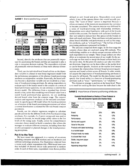

**Exhibit <sup>1</sup> Brand-positioning conjoint**

**Second, identify the attributes that are potentially impor tant for positioning the brands and that are expected to play <sup>a</sup> role in consumer decision making. The respondents evaluate all potentially relevant brands on these more abstract dimen sions.**

**Third, use the individual-level brand utilities as the depen dent variable in <sup>a</sup> linear or non-linear regression model with the performance perceptions of the abstract brand-positioning attributes as independent variables. Essentially, the brand utili ties become <sup>a</sup> dependent variable and are modeled as <sup>a</sup> func tion of brand-positioning attributes. By asking respondents to evaluate each of the brands tested in the conjoint on <sup>a</sup> series of brand performance questions, we can construct <sup>a</sup> common key drivers model. The difference from <sup>a</sup> standard key drivers model is that, rather than modeling overall brand value from <sup>a</sup> stated brand preference/value question, we are modeling derived brand value from the conjoint stage. The conjoint analysis and regression analysis can be executed simultane ously by specifying an HB model where the brand parameters are <sup>a</sup> function of the brand-positioning perceptions and where <sup>a</sup> normal distribution is assumed for the non-brand conjoint parameters.**

**Fourth, use the relative regression weights to calculate pseudo-utilities for the different levels of the brand positioning attributes. For example, if <sup>a</sup> 5-point rating scale was used to evaluate the brands, we would assign utility values to the five levels of the rating scale. Finally, utilize the comprehensive consumer choice model to build <sup>a</sup> simulator that allows the manager to evaluate different scenarios, including those that involve anticipated or planned changes in the brand-position ing perceptions.**

## **Put It to the Test**

**We have tested this approach in <sup>a</sup> variety of situations including consumer and B2B markets and on hardware and software technology products. Our illustration is derived from <sup>a</sup> recent study where respondents did <sup>a</sup> Web-based interview that included 14 discrete choice tasks presented in random order. In each of these tasks, respondents were shown profiles** **defined on onl~ brand and price. Respondents were asked which, if any, of the options shown they would actually pur chase. The none of these option is important because it allows estimation of the minimum requirements for <sup>a</sup> product to become considered. The conjoint exercise was followed by <sup>a</sup> series of brand-positioning and relationship attributes. Respondents were asked familiarity with each of the brands tested in the conjoint. For brands with sufficient familiarity, they were asked to indicate how they perceived the brands on these soft-touch attributes. These attributes included questions about brand reliability and performance as well as less tangi ble attributes, such as a brand <sup>I</sup> trust. The full list of brand positioning attributes is presented in Exhibit 2.**

**The analyses comprised three stages. In the first stage the conjoint choice data are analyzed using HB methods. This methodology enables us to obtain unique conjoint utilities for each respondent in our sample. These unique utilities are what allow us to estimate the second piece of our model. In the sec ond stage we first need to merge the brand utilities back into the survey data. At this point the analysis can take two differ ent directions. Stage two can be done either at the market level or can be brand-specific. Analysis at the market level means we estimate the relationships between brand-positioning per ceptions and brand utilities across all brands. In other words, we assume the importance of brand-positioning attributes is the same for all brands. The model for this data format would specify that brand utility is <sup>a</sup> function of brand-positioning attributes such as trust, performance, or reliability.**

## **Example Results Based on Studies of Three Products in B2B and Consumer Spaces (Six Studies Total)**

| attributes such as "trust," "performance," or "reliability."<br>The alternative strategy is analysis at the brand level. There<br>is no need for stacking the data because the individual is the |                                |     |
|--------------------------------------------------------------------------------------------------------------------------------------------------------------------------------------------------|--------------------------------|-----|
| <b>Exhibit 2</b> Importance of brand-positioning attributes                                                                                                                                      |                                |     |
| <b>Example Results Based on Studies of Three Products in</b><br><b>B2B and Consumer Spaces (Six Studies Total)</b>                                                                               |                                |     |
| Brand -<br>Positioning<br><b>Attributes</b>                                                                                                                                                      | Minimum<br>Importance<br>Found |     |
| <b>Brand</b>                                                                                                                                                                                     | 29%                            | 58% |
| Reliability                                                                                                                                                                                      | 4%                             | 12% |
| Performance                                                                                                                                                                                      | 1%                             | 11% |
| Service and support                                                                                                                                                                              | 6%                             | 14% |
| Value for the price                                                                                                                                                                              | 5%                             | 15% |
| Products with latest technology                                                                                                                                                                  | 0%                             | 14% |
| Is a market leader                                                                                                                                                                               | 10%                            | 19% |
| Product meets my needs                                                                                                                                                                           | 8%                             | 38% |
| Is a brand that I trust                                                                                                                                                                          | 9%                             | 16% |
| Stable, long-term player                                                                                                                                                                         | 9%                             | 19% |
| Easy to use                                                                                                                                                                                      | 3%                             | 11% |
| Appealing design/style                                                                                                                                                                           | 3%                             | 14% |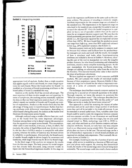

**appropriate level of analysis. Rather than <sup>a</sup> single equation that applies equally well to each brand, we create unique equa nons for each brand. Hence the brand utility for brand <sup>I</sup> is modeled as <sup>a</sup> function of brand-positioning attributes or the brand utility of brand <sup>2</sup> is modeled this way.**

**Analysis at the market level has several advantages. The most important of these involve sample size and reporting. In terms of sample size, the stacking process essentially replicates the data SO chat our final regression analysis has <sup>k</sup> <sup>x</sup> N cases, where <sup>k</sup> equals our number of brands and N equals our num ber of respondents. Analysis at the market level also has the advantage of being easier to report/interpret. Rather than hav ing attributes with differential importances, depending on which brand is being discussed, the analysis at the market level illustrates the importance across brands.**

**Although analyzed using <sup>a</sup> smaller effective base size, anal ysis at the brand level has some important advantages.** Foremost among these is that it doesn't impose the assumption **that the equations are equal across brands. This assumprion, while valid in some markets, is tenuous, at best, in others. For example, the utility of Apple/Macintosh may be driven more by the fact that it fulfills <sup>a</sup> need or is compatible with other systems, whereas the utility of Gateway may be more driven by reliability or performance. Alternatively, the brand equity of smaller brands might be driven largely by awareness and familiarity, while larger brands may be driven by brand image.**

**In the third stage of the analysis we integrate the results from the first two stages. The basic process for model integra tion has already been discussed, using conjoint results as inputs into the hierarchical regression models. In this stage we**

**rescale the regression coefficients to the same scale as the con joint utilities. The process of rescaling is relatively simple. - Attribute importances for the conjoint stage are calculated in the standard way. The importances in the regression stage are calculated in the standard way, except theyre scaled to sum up to equal the adjusted R2. Once the model integration is com plete we have <sup>a</sup> set of (pseudo) utilities that can he used as input for an integrated decision support tool. We note that the brand-positioning perceptions dont predict brand utility com pletely (i.e., the regression equation has an explained variance of less than 100%). We have found that the predictive power can range from high (e.g., more than 80% explained variance) to low (e.g., 20% explained variance). (See Exhibit 3.)**

**Decision support tools are fairly common in conjoint stud ies because they enhance and facilitate how the product/mar ket managers can study and work with the results. An example of how <sup>a</sup> simulator tool looks when brand-positioning attributes are included is shown in Exhibit 4. However, allow ing the user of the tool to manipulate not only the tangible product features, hut also brand positioning and relationship attributes, creates <sup>a</sup> more complete marketing picture. As the user manipulates the brand-positioning attributes, these changes are adding, or subtracting, value from the utility for the brand(s). This rescored brand utility value is then used in the share of preference calculations.**

**We have applied our approach in both consumer and B2B markets. We cant present the results of individual studies because of their proprietary nature. However, Exhibit 2 illus trates the ranges weve found for the relative importance esti mates of <sup>a</sup> series of commonly used brand-positioning attributes.**

**The technique described here extends conjoint analysis by allowing for <sup>a</sup> second set of research questions to be asked. Through conjoint, we know the answers to questions like What do respondents want? The technique described here allows answers to questions like Why do they prefer it? and What can we do to make the brand more attractive?**

**Our approach is useful for assessing the impact of softer attributes and can be used when <sup>a</sup> large number of attributes exists that cant all be included in the trade-off exercise. It can be extended in several useful ways. First, variables other than brand could be used to make the integration between conjoint and non-conjoint variables. In our illustration we used brand as <sup>a</sup> variable that connects the two stages, hut we also used channel (retail vs. Web), technology type (CD vs. DVD vs. tape), and other attributes as <sup>a</sup> link between conjoint and nonconjoint attributes. Second, we only have one non-conjoint level in our illustration (using simple OLS). This model sim plicity does nor have to be the case. The second stage can be <sup>a</sup> set of hierarchical regressions in which brand attributes are regressed on attribute subcomponents. (This is actually the sit uation shown in Exhibit 1.)**

**For example, brand equity may be <sup>a</sup> function of service and image, while service is modeled as <sup>a</sup> function of Web tech sup port and phone tech support. By creating this hierarchical model, the results of the second stage move toward being more actionable. The second stage could also entail <sup>a</sup> factor analysis** **J**